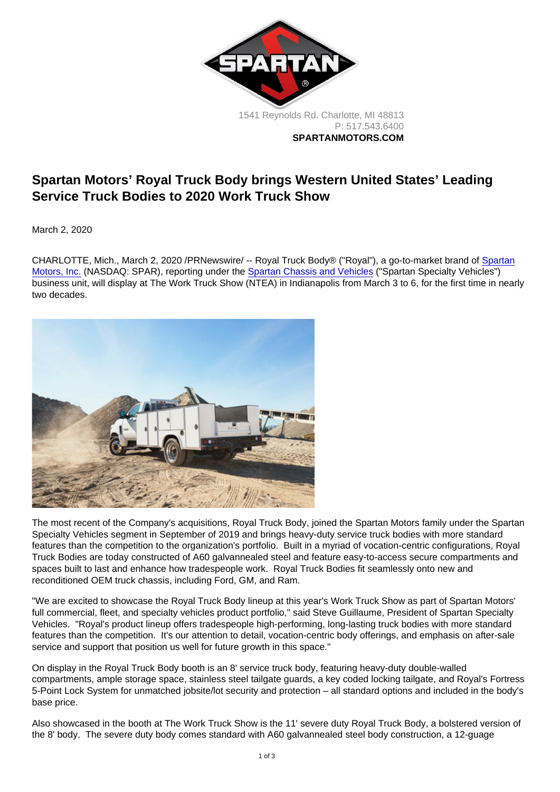1541 Reynolds Rd. Charlotte, MI 48813 P: [517.543.6400](tel:+15175436400) SPARTANMOTORS.COM

## Spartan Motors' Royal Truck Body brings Western United States' Leading Service Truck Bodies to 2020 Work Truck Show

March 2, 2020

CHARLOTTE, Mich., March 2, 2020 /PRNewswire/ -- Royal Truck Body® ("Royal"), a go-to-market brand of [Spartan](https://c212.net/c/link/?t=0&l=en&o=2735909-1&h=815215150&u=https://www.spartanmotors.com/&a=Spartan+Motors,+Inc.) [Motors, Inc.](https://c212.net/c/link/?t=0&l=en&o=2735909-1&h=815215150&u=https://www.spartanmotors.com/&a=Spartan+Motors,+Inc.) (NASDAQ: SPAR), reporting under the [Spartan Chassis and Vehicles](https://c212.net/c/link/?t=0&l=en&o=2735909-1&h=2923566131&u=https://www.spartanmotors.com/industries/fleet-vehicle-services/&a=Spartan+Chassis+and+Vehicles) ("Spartan Specialty Vehicles") business unit, will display at The Work Truck Show (NTEA) in Indianapolis from March 3 to 6, for the first time in nearly two decades.

The most recent of the Company's acquisitions, Royal Truck Body, joined the Spartan Motors family under the Spartan Specialty Vehicles segment in September of 2019 and brings heavy-duty service truck bodies with more standard features than the competition to the organization's portfolio. Built in a myriad of vocation-centric configurations, Royal Truck Bodies are today constructed of A60 galvannealed steel and feature easy-to-access secure compartments and spaces built to last and enhance how tradespeople work. Royal Truck Bodies fit seamlessly onto new and reconditioned OEM truck chassis, including Ford, GM, and Ram.

"We are excited to showcase the Royal Truck Body lineup at this year's Work Truck Show as part of Spartan Motors' full commercial, fleet, and specialty vehicles product portfolio," said Steve Guillaume, President of Spartan Specialty Vehicles. "Royal's product lineup offers tradespeople high-performing, long-lasting truck bodies with more standard features than the competition. It's our attention to detail, vocation-centric body offerings, and emphasis on after-sale service and support that position us well for future growth in this space."

On display in the Royal Truck Body booth is an 8' service truck body, featuring heavy-duty double-walled compartments, ample storage space, stainless steel tailgate guards, a key coded locking tailgate, and Royal's Fortress 5-Point Lock System for unmatched jobsite/lot security and protection – all standard options and included in the body's base price.

Also showcased in the booth at The Work Truck Show is the 11' severe duty Royal Truck Body, a bolstered version of the 8' body. The severe duty body comes standard with A60 galvannealed steel body construction, a 12-guage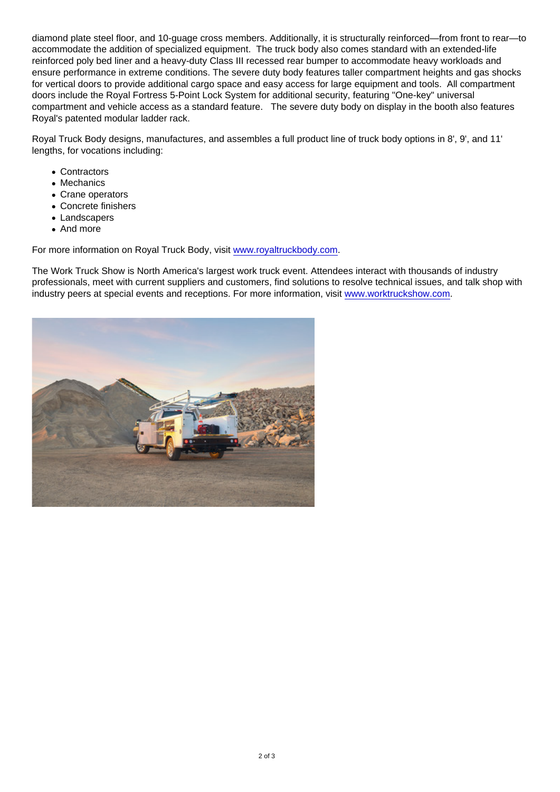diamond plate steel floor, and 10-guage cross members. Additionally, it is structurally reinforced—from front to rear—to accommodate the addition of specialized equipment. The truck body also comes standard with an extended-life reinforced poly bed liner and a heavy-duty Class III recessed rear bumper to accommodate heavy workloads and ensure performance in extreme conditions. The severe duty body features taller compartment heights and gas shocks for vertical doors to provide additional cargo space and easy access for large equipment and tools. All compartment doors include the Royal Fortress 5-Point Lock System for additional security, featuring "One-key" universal compartment and vehicle access as a standard feature. The severe duty body on display in the booth also features Royal's patented modular ladder rack.

Royal Truck Body designs, manufactures, and assembles a full product line of truck body options in 8', 9', and 11' lengths, for vocations including:

- Contractors
- Mechanics
- Crane operators
- Concrete finishers
- Landscapers
- And more

For more information on Royal Truck Body, visit [www.royaltruckbody.com](https://c212.net/c/link/?t=0&l=en&o=2735909-1&h=759219680&u=http://www.royaltruckbody.com/&a=www.royaltruckbody.com).

The Work Truck Show is North America's largest work truck event. Attendees interact with thousands of industry professionals, meet with current suppliers and customers, find solutions to resolve technical issues, and talk shop with industry peers at special events and receptions. For more information, visit [www.worktruckshow.com.](https://c212.net/c/link/?t=0&l=en&o=2735909-1&h=1577218245&u=http://www.worktruckshow.com/&a=www.worktruckshow.com)